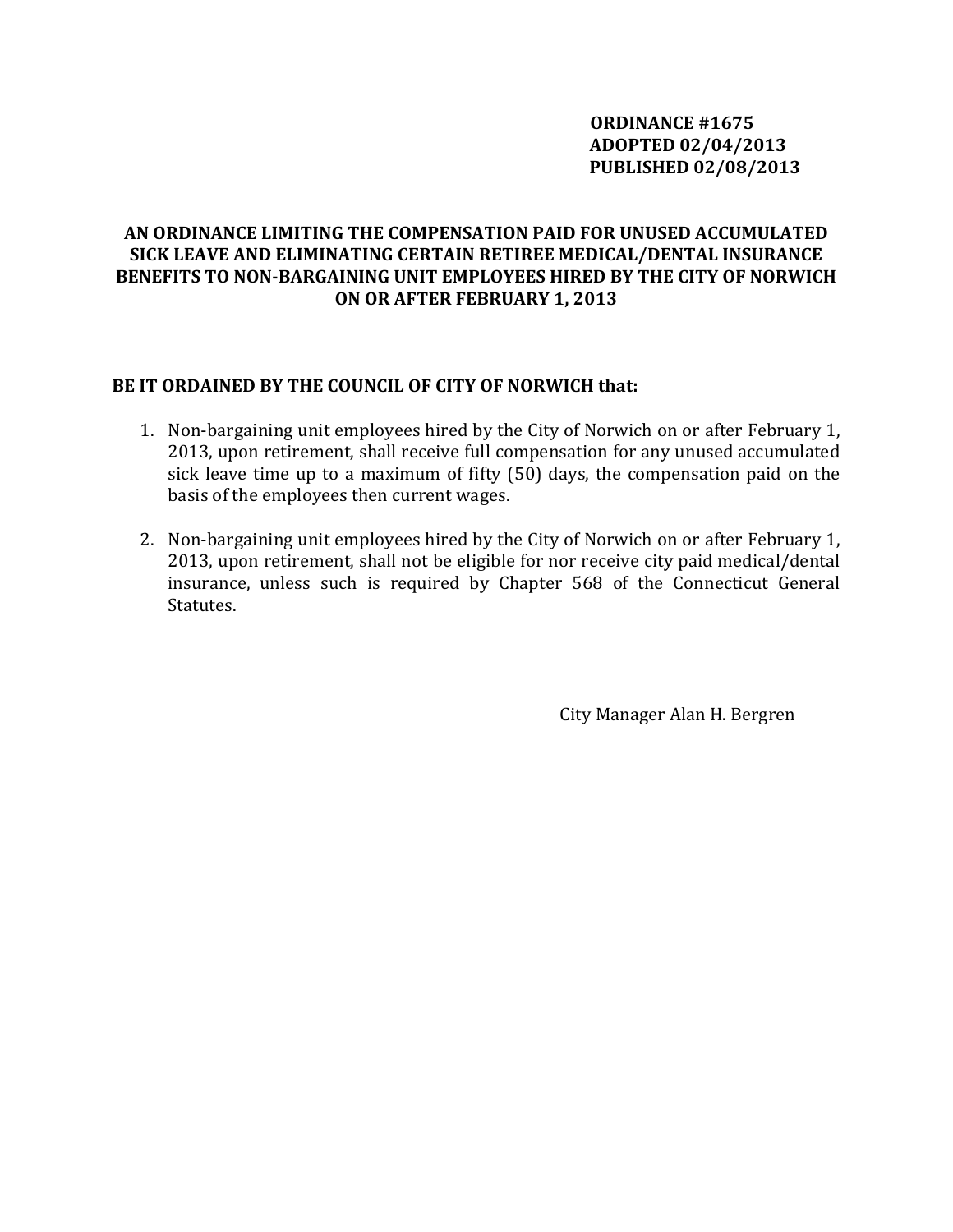## **ORDINANCE #1675 ADOPTED 02/04/2013 PUBLISHED 02/08/2013**

## **AN ORDINANCE LIMITING THE COMPENSATION PAID FOR UNUSED ACCUMULATED SICK LEAVE AND ELIMINATING CERTAIN RETIREE MEDICAL/DENTAL INSURANCE BENEFITS TO NONBARGAINING UNIT EMPLOYEES HIRED BY THE CITY OF NORWICH ON OR AFTER FEBRUARY 1, 2013**

#### **BE IT ORDAINED BY THE COUNCIL OF CITY OF NORWICH that:**

- 1. Non‐bargaining unit employees hired by the City of Norwich on or after February 1, 2013, upon retirement, shall receive full compensation for any unused accumulated sick leave time up to a maximum of fifty (50) days, the compensation paid on the basis of the employees then current wages.
- 2. Non-bargaining unit employees hired by the City of Norwich on or after February 1, 2013, upon retirement, shall not be eligible for nor receive city paid medical/dental insurance, unless such is required by Chapter 568 of the Connecticut General Statutes.

City Manager Alan H. Bergren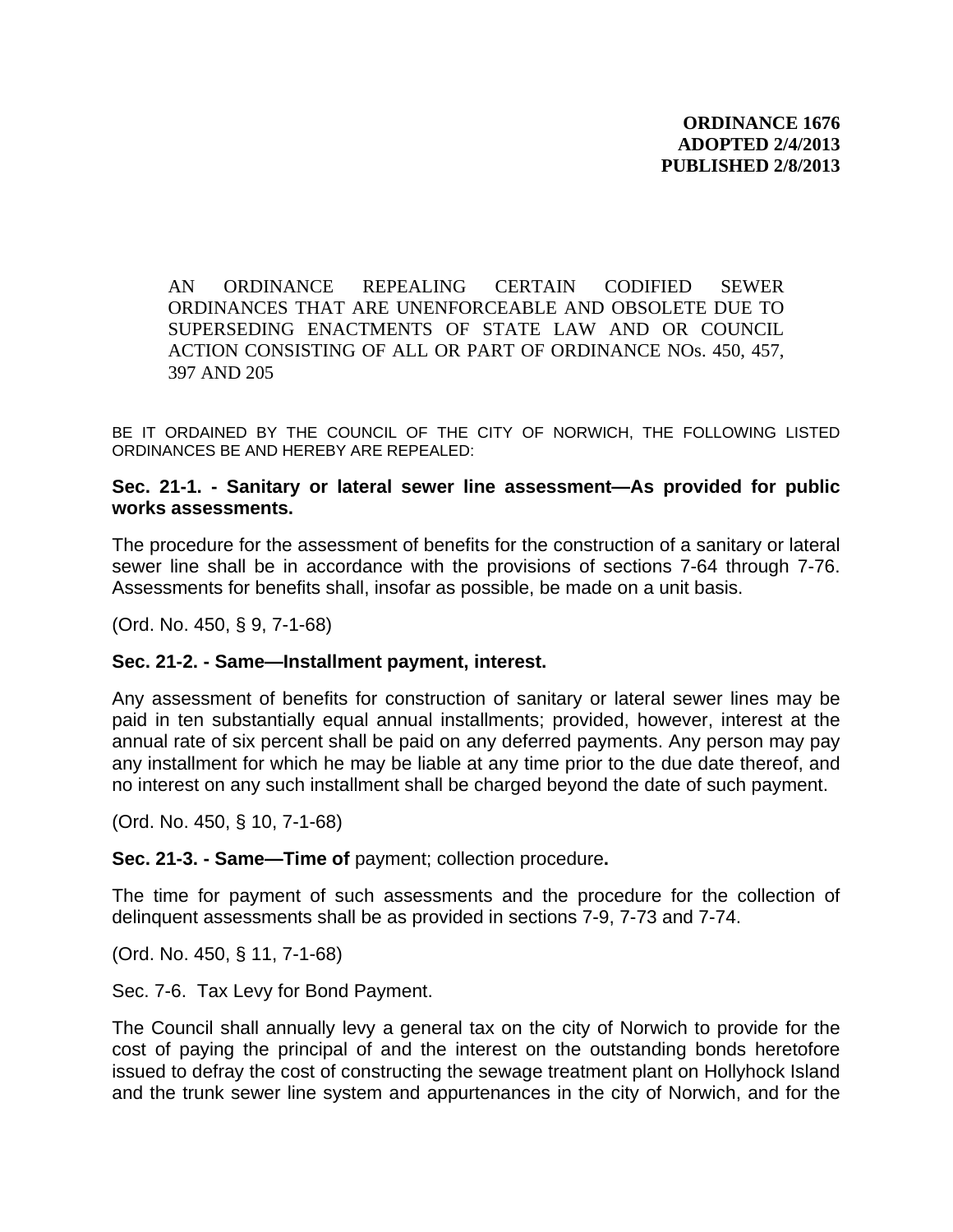AN ORDINANCE REPEALING CERTAIN CODIFIED SEWER ORDINANCES THAT ARE UNENFORCEABLE AND OBSOLETE DUE TO SUPERSEDING ENACTMENTS OF STATE LAW AND OR COUNCIL ACTION CONSISTING OF ALL OR PART OF ORDINANCE NOs. 450, 457, 397 AND 205

BE IT ORDAINED BY THE COUNCIL OF THE CITY OF NORWICH, THE FOLLOWING LISTED ORDINANCES BE AND HEREBY ARE REPEALED:

#### **Sec. 21-1. - Sanitary or lateral sewer line assessment—As provided for public works assessments.**

The procedure for the assessment of benefits for the construction of a sanitary or lateral sewer line shall be in accordance with the provisions of sections 7-64 through 7-76. Assessments for benefits shall, insofar as possible, be made on a unit basis.

(Ord. No. 450, § 9, 7-1-68)

#### **Sec. 21-2. - Same—Installment payment, interest.**

Any assessment of benefits for construction of sanitary or lateral sewer lines may be paid in ten substantially equal annual installments; provided, however, interest at the annual rate of six percent shall be paid on any deferred payments. Any person may pay any installment for which he may be liable at any time prior to the due date thereof, and no interest on any such installment shall be charged beyond the date of such payment.

(Ord. No. 450, § 10, 7-1-68)

**Sec. 21-3. - Same—Time of** payment; collection procedure**.**

The time for payment of such assessments and the procedure for the collection of delinquent assessments shall be as provided in sections 7-9, 7-73 and 7-74.

(Ord. No. 450, § 11, 7-1-68)

Sec. 7-6. Tax Levy for Bond Payment.

The Council shall annually levy a general tax on the city of Norwich to provide for the cost of paying the principal of and the interest on the outstanding bonds heretofore issued to defray the cost of constructing the sewage treatment plant on Hollyhock Island and the trunk sewer line system and appurtenances in the city of Norwich, and for the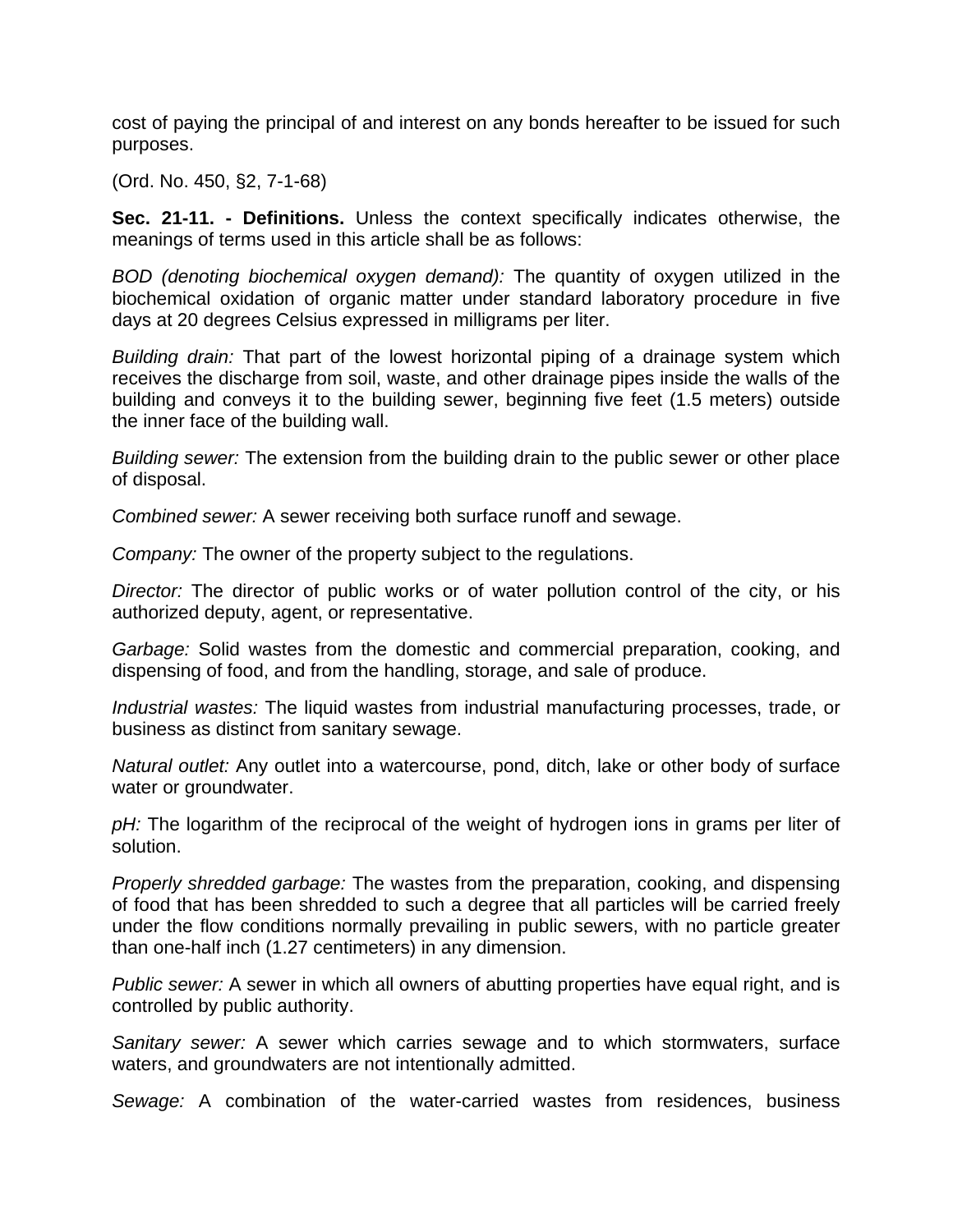cost of paying the principal of and interest on any bonds hereafter to be issued for such purposes.

(Ord. No. 450, §2, 7-1-68)

**Sec. 21-11. - Definitions.** Unless the context specifically indicates otherwise, the meanings of terms used in this article shall be as follows:

*BOD (denoting biochemical oxygen demand):* The quantity of oxygen utilized in the biochemical oxidation of organic matter under standard laboratory procedure in five days at 20 degrees Celsius expressed in milligrams per liter.

*Building drain:* That part of the lowest horizontal piping of a drainage system which receives the discharge from soil, waste, and other drainage pipes inside the walls of the building and conveys it to the building sewer, beginning five feet (1.5 meters) outside the inner face of the building wall.

*Building sewer:* The extension from the building drain to the public sewer or other place of disposal.

*Combined sewer:* A sewer receiving both surface runoff and sewage.

*Company:* The owner of the property subject to the regulations.

*Director:* The director of public works or of water pollution control of the city, or his authorized deputy, agent, or representative.

*Garbage:* Solid wastes from the domestic and commercial preparation, cooking, and dispensing of food, and from the handling, storage, and sale of produce.

*Industrial wastes:* The liquid wastes from industrial manufacturing processes, trade, or business as distinct from sanitary sewage.

*Natural outlet:* Any outlet into a watercourse, pond, ditch, lake or other body of surface water or groundwater.

pH: The logarithm of the reciprocal of the weight of hydrogen ions in grams per liter of solution.

*Properly shredded garbage:* The wastes from the preparation, cooking, and dispensing of food that has been shredded to such a degree that all particles will be carried freely under the flow conditions normally prevailing in public sewers, with no particle greater than one-half inch (1.27 centimeters) in any dimension.

*Public sewer:* A sewer in which all owners of abutting properties have equal right, and is controlled by public authority.

*Sanitary sewer:* A sewer which carries sewage and to which stormwaters, surface waters, and groundwaters are not intentionally admitted.

*Sewage:* A combination of the water-carried wastes from residences, business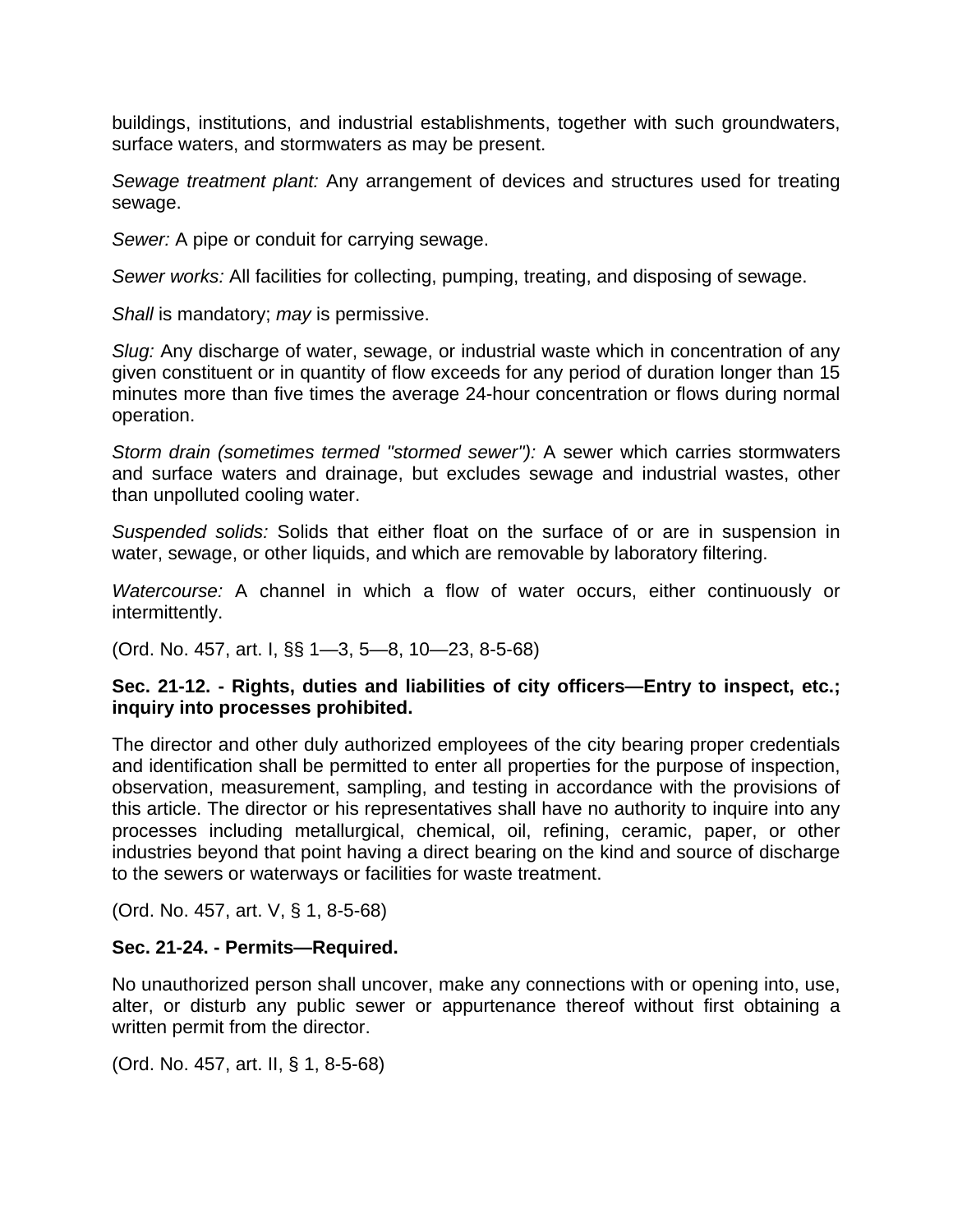buildings, institutions, and industrial establishments, together with such groundwaters, surface waters, and stormwaters as may be present.

*Sewage treatment plant:* Any arrangement of devices and structures used for treating sewage.

*Sewer:* A pipe or conduit for carrying sewage.

*Sewer works:* All facilities for collecting, pumping, treating, and disposing of sewage.

*Shall* is mandatory; *may* is permissive.

*Slug:* Any discharge of water, sewage, or industrial waste which in concentration of any given constituent or in quantity of flow exceeds for any period of duration longer than 15 minutes more than five times the average 24-hour concentration or flows during normal operation.

*Storm drain (sometimes termed "stormed sewer"):* A sewer which carries stormwaters and surface waters and drainage, but excludes sewage and industrial wastes, other than unpolluted cooling water.

*Suspended solids:* Solids that either float on the surface of or are in suspension in water, sewage, or other liquids, and which are removable by laboratory filtering.

*Watercourse:* A channel in which a flow of water occurs, either continuously or intermittently.

(Ord. No. 457, art. I, §§ 1—3, 5—8, 10—23, 8-5-68)

#### **Sec. 21-12. - Rights, duties and liabilities of city officers—Entry to inspect, etc.; inquiry into processes prohibited.**

The director and other duly authorized employees of the city bearing proper credentials and identification shall be permitted to enter all properties for the purpose of inspection, observation, measurement, sampling, and testing in accordance with the provisions of this article. The director or his representatives shall have no authority to inquire into any processes including metallurgical, chemical, oil, refining, ceramic, paper, or other industries beyond that point having a direct bearing on the kind and source of discharge to the sewers or waterways or facilities for waste treatment.

(Ord. No. 457, art. V, § 1, 8-5-68)

### **Sec. 21-24. - Permits—Required.**

No unauthorized person shall uncover, make any connections with or opening into, use, alter, or disturb any public sewer or appurtenance thereof without first obtaining a written permit from the director.

(Ord. No. 457, art. II, § 1, 8-5-68)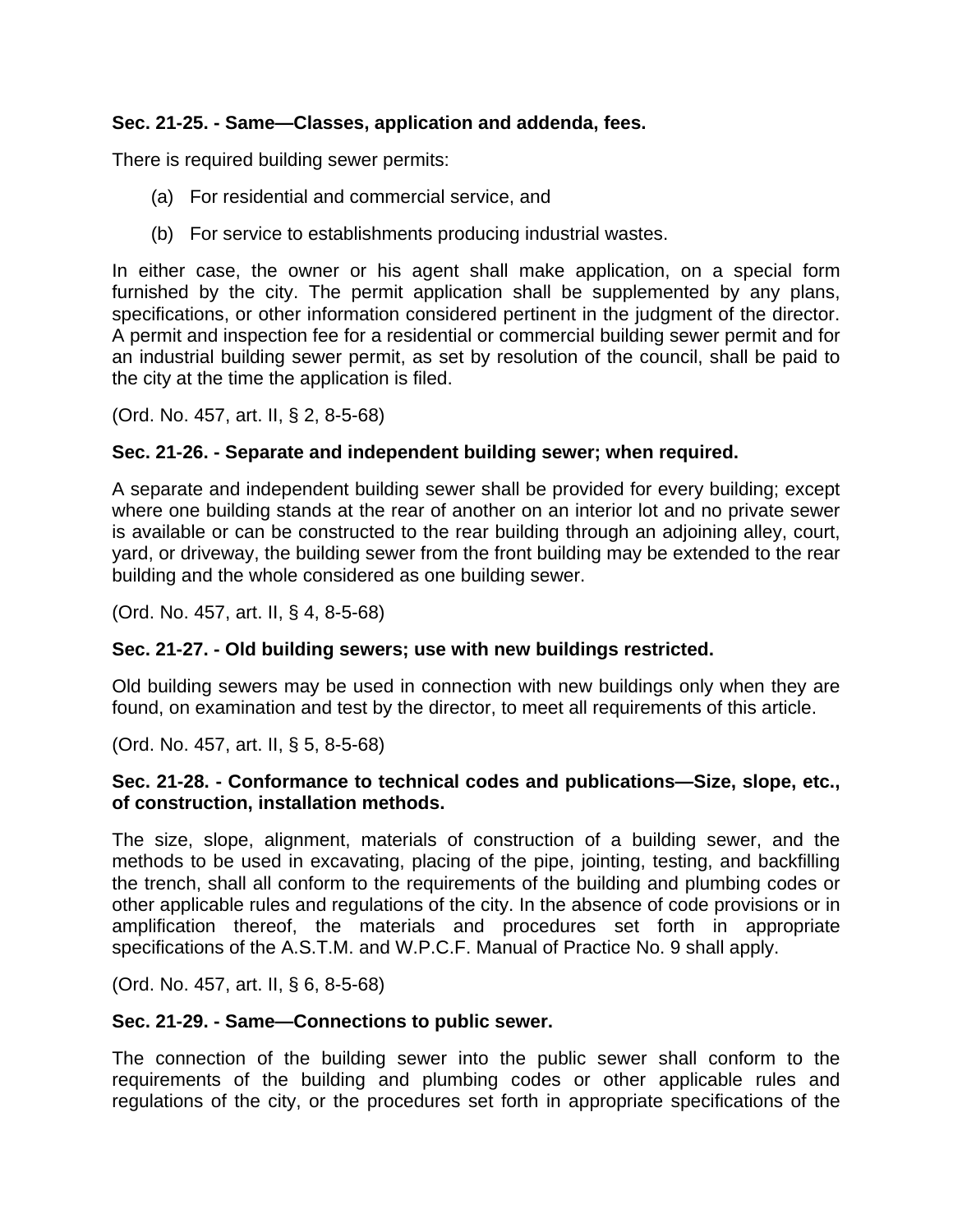## **Sec. 21-25. - Same—Classes, application and addenda, fees.**

There is required building sewer permits:

- (a) For residential and commercial service, and
- (b) For service to establishments producing industrial wastes.

In either case, the owner or his agent shall make application, on a special form furnished by the city. The permit application shall be supplemented by any plans, specifications, or other information considered pertinent in the judgment of the director. A permit and inspection fee for a residential or commercial building sewer permit and for an industrial building sewer permit, as set by resolution of the council, shall be paid to the city at the time the application is filed.

(Ord. No. 457, art. II, § 2, 8-5-68)

### **Sec. 21-26. - Separate and independent building sewer; when required.**

A separate and independent building sewer shall be provided for every building; except where one building stands at the rear of another on an interior lot and no private sewer is available or can be constructed to the rear building through an adjoining alley, court, yard, or driveway, the building sewer from the front building may be extended to the rear building and the whole considered as one building sewer.

(Ord. No. 457, art. II, § 4, 8-5-68)

### **Sec. 21-27. - Old building sewers; use with new buildings restricted.**

Old building sewers may be used in connection with new buildings only when they are found, on examination and test by the director, to meet all requirements of this article.

(Ord. No. 457, art. II, § 5, 8-5-68)

#### **Sec. 21-28. - Conformance to technical codes and publications—Size, slope, etc., of construction, installation methods.**

The size, slope, alignment, materials of construction of a building sewer, and the methods to be used in excavating, placing of the pipe, jointing, testing, and backfilling the trench, shall all conform to the requirements of the building and plumbing codes or other applicable rules and regulations of the city. In the absence of code provisions or in amplification thereof, the materials and procedures set forth in appropriate specifications of the A.S.T.M. and W.P.C.F. Manual of Practice No. 9 shall apply.

(Ord. No. 457, art. II, § 6, 8-5-68)

### **Sec. 21-29. - Same—Connections to public sewer.**

The connection of the building sewer into the public sewer shall conform to the requirements of the building and plumbing codes or other applicable rules and regulations of the city, or the procedures set forth in appropriate specifications of the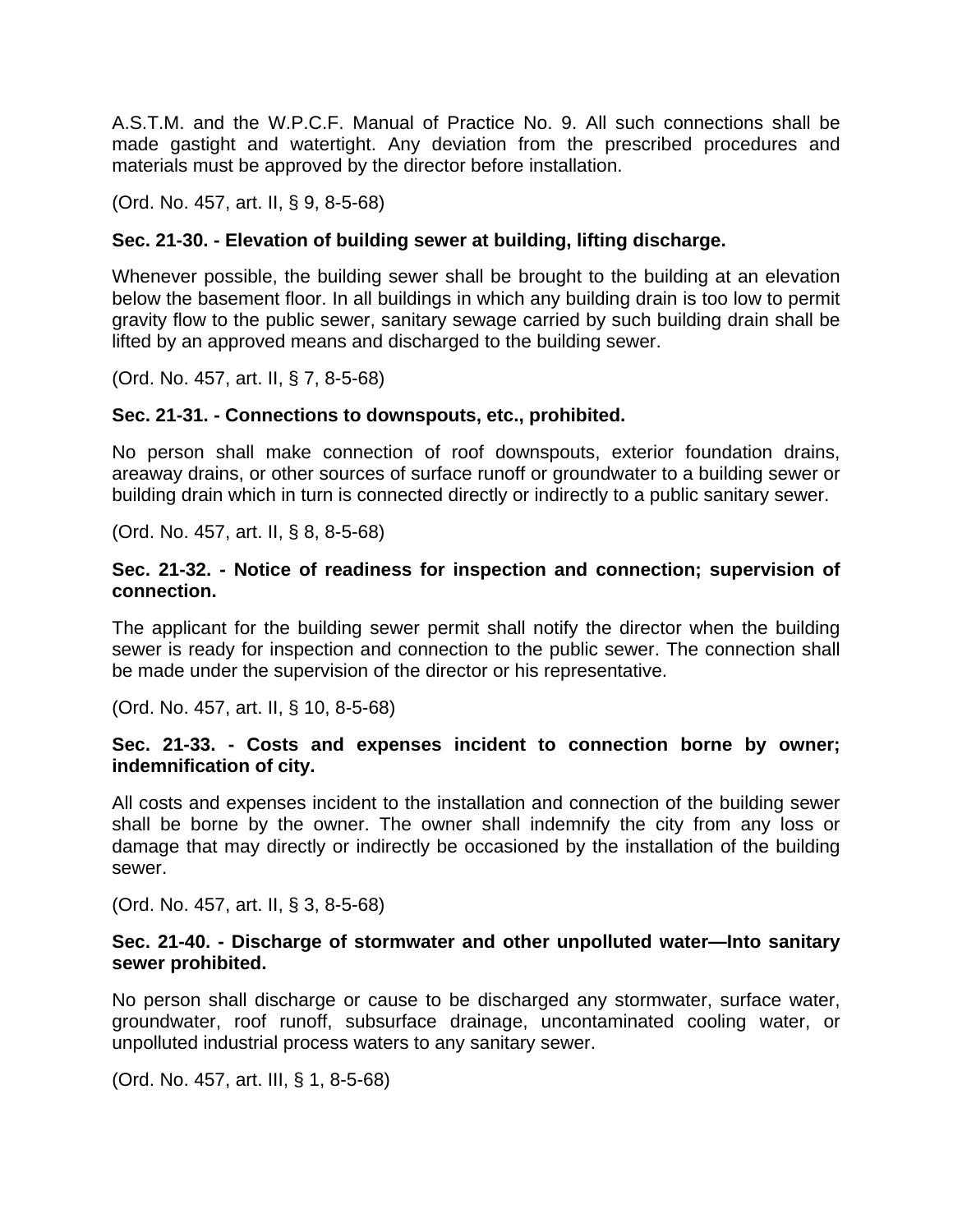A.S.T.M. and the W.P.C.F. Manual of Practice No. 9. All such connections shall be made gastight and watertight. Any deviation from the prescribed procedures and materials must be approved by the director before installation.

(Ord. No. 457, art. II, § 9, 8-5-68)

## **Sec. 21-30. - Elevation of building sewer at building, lifting discharge.**

Whenever possible, the building sewer shall be brought to the building at an elevation below the basement floor. In all buildings in which any building drain is too low to permit gravity flow to the public sewer, sanitary sewage carried by such building drain shall be lifted by an approved means and discharged to the building sewer.

(Ord. No. 457, art. II, § 7, 8-5-68)

### **Sec. 21-31. - Connections to downspouts, etc., prohibited.**

No person shall make connection of roof downspouts, exterior foundation drains, areaway drains, or other sources of surface runoff or groundwater to a building sewer or building drain which in turn is connected directly or indirectly to a public sanitary sewer.

(Ord. No. 457, art. II, § 8, 8-5-68)

#### **Sec. 21-32. - Notice of readiness for inspection and connection; supervision of connection.**

The applicant for the building sewer permit shall notify the director when the building sewer is ready for inspection and connection to the public sewer. The connection shall be made under the supervision of the director or his representative.

(Ord. No. 457, art. II, § 10, 8-5-68)

#### **Sec. 21-33. - Costs and expenses incident to connection borne by owner; indemnification of city.**

All costs and expenses incident to the installation and connection of the building sewer shall be borne by the owner. The owner shall indemnify the city from any loss or damage that may directly or indirectly be occasioned by the installation of the building sewer.

(Ord. No. 457, art. II, § 3, 8-5-68)

#### **Sec. 21-40. - Discharge of stormwater and other unpolluted water—Into sanitary sewer prohibited.**

No person shall discharge or cause to be discharged any stormwater, surface water, groundwater, roof runoff, subsurface drainage, uncontaminated cooling water, or unpolluted industrial process waters to any sanitary sewer.

(Ord. No. 457, art. III, § 1, 8-5-68)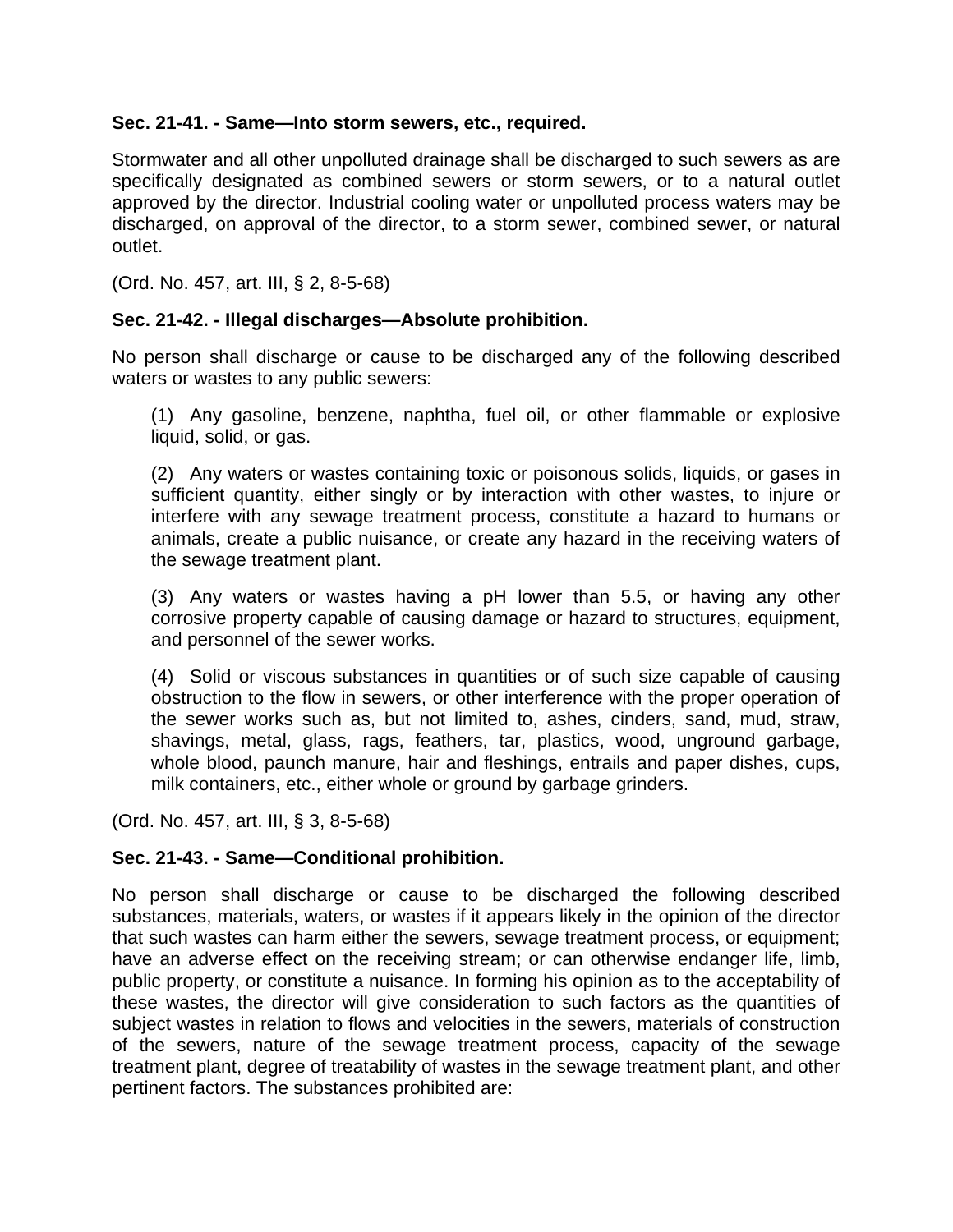#### **Sec. 21-41. - Same—Into storm sewers, etc., required.**

Stormwater and all other unpolluted drainage shall be discharged to such sewers as are specifically designated as combined sewers or storm sewers, or to a natural outlet approved by the director. Industrial cooling water or unpolluted process waters may be discharged, on approval of the director, to a storm sewer, combined sewer, or natural outlet.

(Ord. No. 457, art. III, § 2, 8-5-68)

### **Sec. 21-42. - Illegal discharges—Absolute prohibition.**

No person shall discharge or cause to be discharged any of the following described waters or wastes to any public sewers:

(1) Any gasoline, benzene, naphtha, fuel oil, or other flammable or explosive liquid, solid, or gas.

(2) Any waters or wastes containing toxic or poisonous solids, liquids, or gases in sufficient quantity, either singly or by interaction with other wastes, to injure or interfere with any sewage treatment process, constitute a hazard to humans or animals, create a public nuisance, or create any hazard in the receiving waters of the sewage treatment plant.

(3) Any waters or wastes having a pH lower than 5.5, or having any other corrosive property capable of causing damage or hazard to structures, equipment, and personnel of the sewer works.

(4) Solid or viscous substances in quantities or of such size capable of causing obstruction to the flow in sewers, or other interference with the proper operation of the sewer works such as, but not limited to, ashes, cinders, sand, mud, straw, shavings, metal, glass, rags, feathers, tar, plastics, wood, unground garbage, whole blood, paunch manure, hair and fleshings, entrails and paper dishes, cups, milk containers, etc., either whole or ground by garbage grinders.

(Ord. No. 457, art. III, § 3, 8-5-68)

### **Sec. 21-43. - Same—Conditional prohibition.**

No person shall discharge or cause to be discharged the following described substances, materials, waters, or wastes if it appears likely in the opinion of the director that such wastes can harm either the sewers, sewage treatment process, or equipment; have an adverse effect on the receiving stream; or can otherwise endanger life, limb, public property, or constitute a nuisance. In forming his opinion as to the acceptability of these wastes, the director will give consideration to such factors as the quantities of subject wastes in relation to flows and velocities in the sewers, materials of construction of the sewers, nature of the sewage treatment process, capacity of the sewage treatment plant, degree of treatability of wastes in the sewage treatment plant, and other pertinent factors. The substances prohibited are: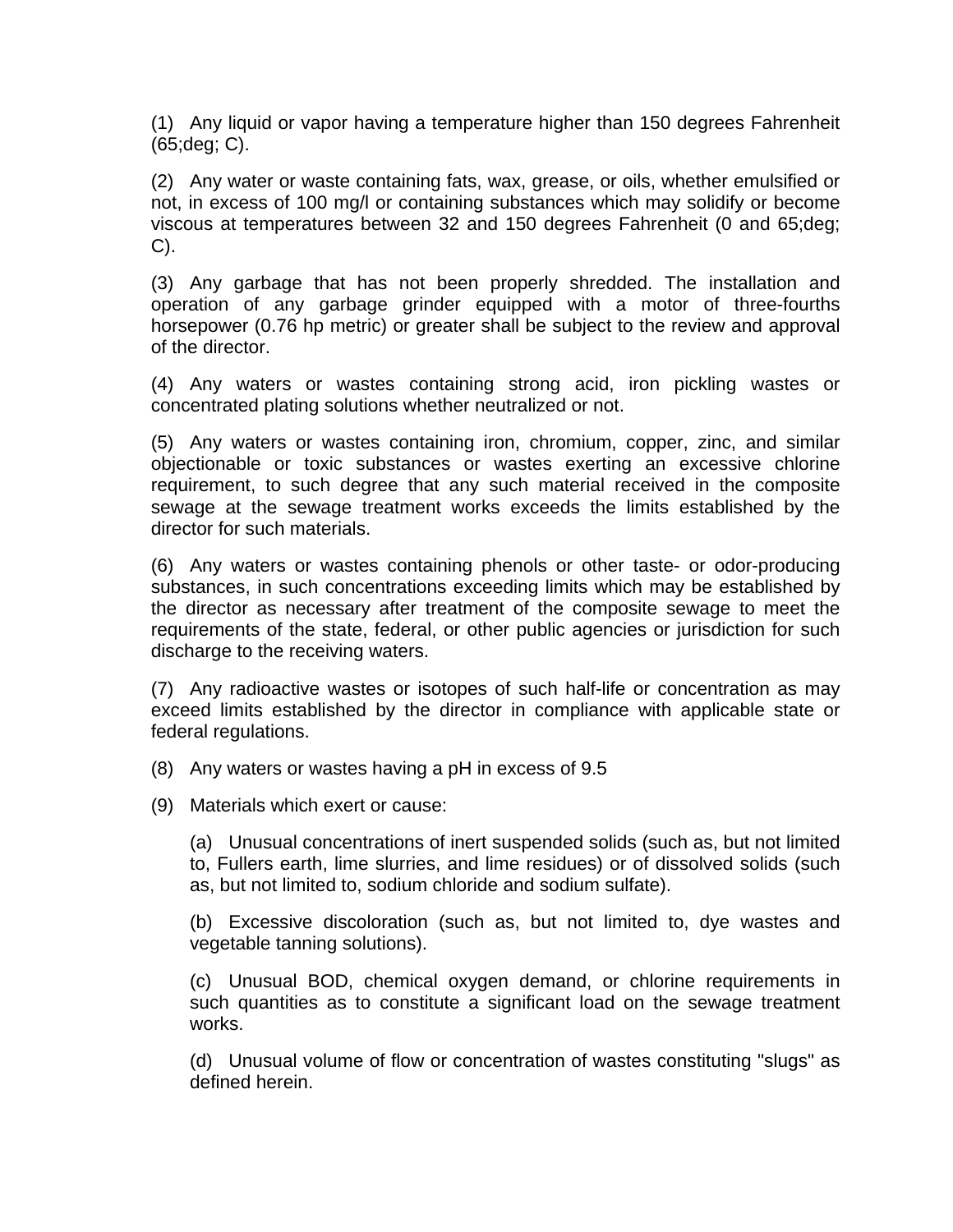(1) Any liquid or vapor having a temperature higher than 150 degrees Fahrenheit (65;deg; C).

(2) Any water or waste containing fats, wax, grease, or oils, whether emulsified or not, in excess of 100 mg/l or containing substances which may solidify or become viscous at temperatures between 32 and 150 degrees Fahrenheit (0 and 65;deg; C).

(3) Any garbage that has not been properly shredded. The installation and operation of any garbage grinder equipped with a motor of three-fourths horsepower (0.76 hp metric) or greater shall be subject to the review and approval of the director.

(4) Any waters or wastes containing strong acid, iron pickling wastes or concentrated plating solutions whether neutralized or not.

(5) Any waters or wastes containing iron, chromium, copper, zinc, and similar objectionable or toxic substances or wastes exerting an excessive chlorine requirement, to such degree that any such material received in the composite sewage at the sewage treatment works exceeds the limits established by the director for such materials.

(6) Any waters or wastes containing phenols or other taste- or odor-producing substances, in such concentrations exceeding limits which may be established by the director as necessary after treatment of the composite sewage to meet the requirements of the state, federal, or other public agencies or jurisdiction for such discharge to the receiving waters.

(7) Any radioactive wastes or isotopes of such half-life or concentration as may exceed limits established by the director in compliance with applicable state or federal regulations.

(8) Any waters or wastes having a pH in excess of 9.5

(9) Materials which exert or cause:

(a) Unusual concentrations of inert suspended solids (such as, but not limited to, Fullers earth, lime slurries, and lime residues) or of dissolved solids (such as, but not limited to, sodium chloride and sodium sulfate).

(b) Excessive discoloration (such as, but not limited to, dye wastes and vegetable tanning solutions).

(c) Unusual BOD, chemical oxygen demand, or chlorine requirements in such quantities as to constitute a significant load on the sewage treatment works.

(d) Unusual volume of flow or concentration of wastes constituting "slugs" as defined herein.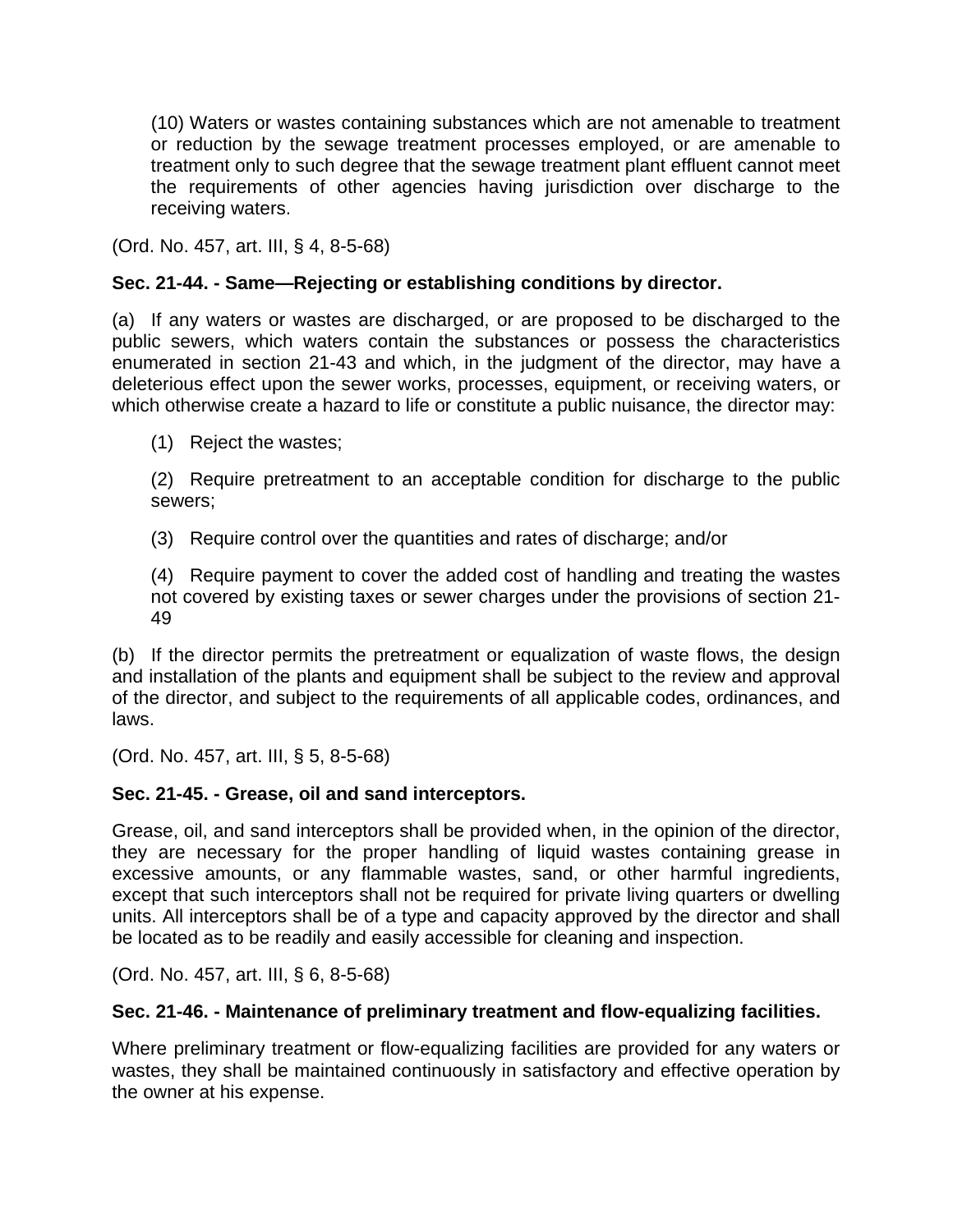(10) Waters or wastes containing substances which are not amenable to treatment or reduction by the sewage treatment processes employed, or are amenable to treatment only to such degree that the sewage treatment plant effluent cannot meet the requirements of other agencies having jurisdiction over discharge to the receiving waters.

(Ord. No. 457, art. III, § 4, 8-5-68)

# **Sec. 21-44. - Same—Rejecting or establishing conditions by director.**

(a) If any waters or wastes are discharged, or are proposed to be discharged to the public sewers, which waters contain the substances or possess the characteristics enumerated in section 21-43 and which, in the judgment of the director, may have a deleterious effect upon the sewer works, processes, equipment, or receiving waters, or which otherwise create a hazard to life or constitute a public nuisance, the director may:

(1) Reject the wastes;

(2) Require pretreatment to an acceptable condition for discharge to the public sewers;

(3) Require control over the quantities and rates of discharge; and/or

(4) Require payment to cover the added cost of handling and treating the wastes not covered by existing taxes or sewer charges under the provisions of section 21- 49

(b) If the director permits the pretreatment or equalization of waste flows, the design and installation of the plants and equipment shall be subject to the review and approval of the director, and subject to the requirements of all applicable codes, ordinances, and laws.

(Ord. No. 457, art. III, § 5, 8-5-68)

### **Sec. 21-45. - Grease, oil and sand interceptors.**

Grease, oil, and sand interceptors shall be provided when, in the opinion of the director, they are necessary for the proper handling of liquid wastes containing grease in excessive amounts, or any flammable wastes, sand, or other harmful ingredients, except that such interceptors shall not be required for private living quarters or dwelling units. All interceptors shall be of a type and capacity approved by the director and shall be located as to be readily and easily accessible for cleaning and inspection.

(Ord. No. 457, art. III, § 6, 8-5-68)

### **Sec. 21-46. - Maintenance of preliminary treatment and flow-equalizing facilities.**

Where preliminary treatment or flow-equalizing facilities are provided for any waters or wastes, they shall be maintained continuously in satisfactory and effective operation by the owner at his expense.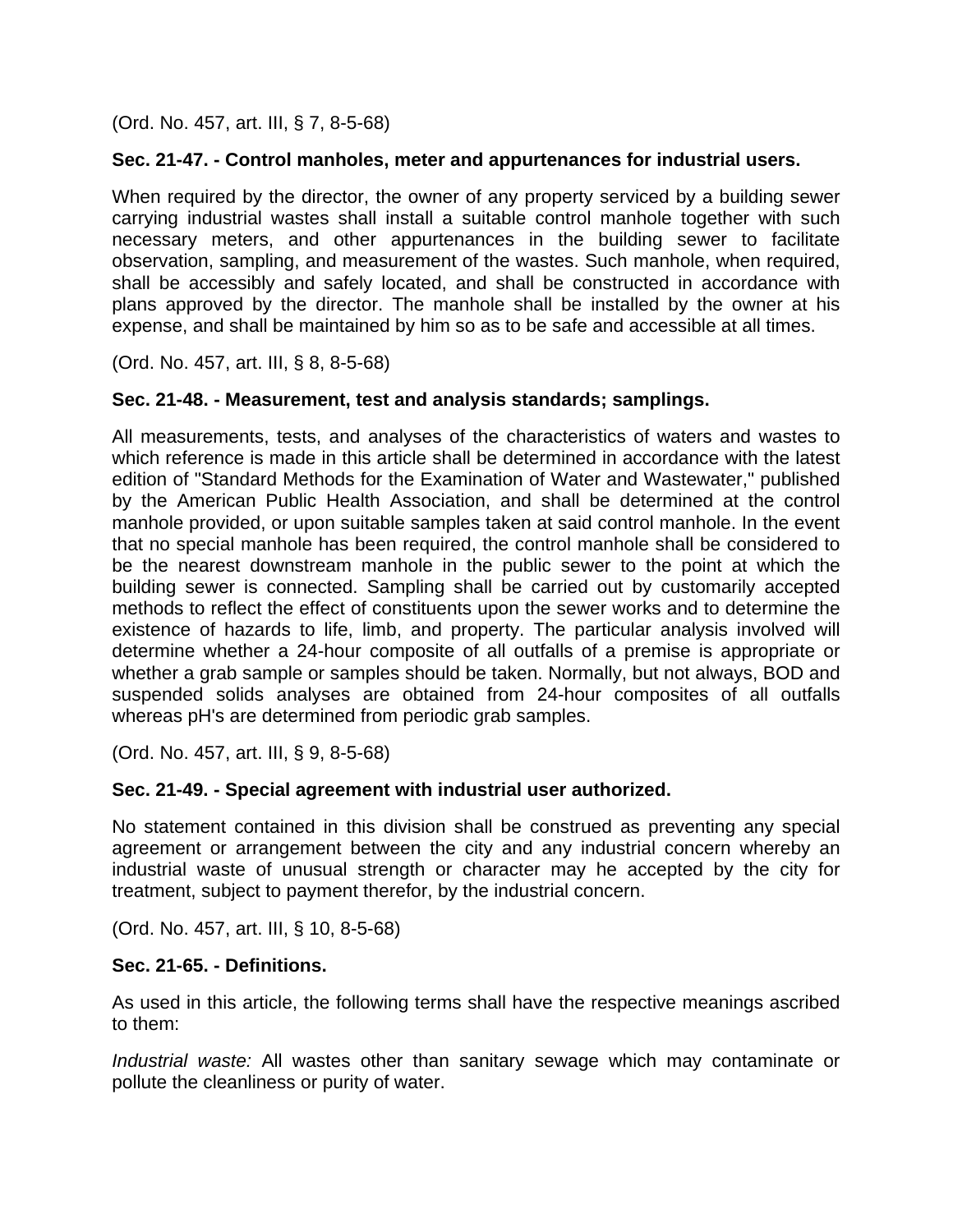(Ord. No. 457, art. III, § 7, 8-5-68)

# **Sec. 21-47. - Control manholes, meter and appurtenances for industrial users.**

When required by the director, the owner of any property serviced by a building sewer carrying industrial wastes shall install a suitable control manhole together with such necessary meters, and other appurtenances in the building sewer to facilitate observation, sampling, and measurement of the wastes. Such manhole, when required, shall be accessibly and safely located, and shall be constructed in accordance with plans approved by the director. The manhole shall be installed by the owner at his expense, and shall be maintained by him so as to be safe and accessible at all times.

(Ord. No. 457, art. III, § 8, 8-5-68)

### **Sec. 21-48. - Measurement, test and analysis standards; samplings.**

All measurements, tests, and analyses of the characteristics of waters and wastes to which reference is made in this article shall be determined in accordance with the latest edition of "Standard Methods for the Examination of Water and Wastewater," published by the American Public Health Association, and shall be determined at the control manhole provided, or upon suitable samples taken at said control manhole. In the event that no special manhole has been required, the control manhole shall be considered to be the nearest downstream manhole in the public sewer to the point at which the building sewer is connected. Sampling shall be carried out by customarily accepted methods to reflect the effect of constituents upon the sewer works and to determine the existence of hazards to life, limb, and property. The particular analysis involved will determine whether a 24-hour composite of all outfalls of a premise is appropriate or whether a grab sample or samples should be taken. Normally, but not always, BOD and suspended solids analyses are obtained from 24-hour composites of all outfalls whereas pH's are determined from periodic grab samples.

(Ord. No. 457, art. III, § 9, 8-5-68)

### **Sec. 21-49. - Special agreement with industrial user authorized.**

No statement contained in this division shall be construed as preventing any special agreement or arrangement between the city and any industrial concern whereby an industrial waste of unusual strength or character may he accepted by the city for treatment, subject to payment therefor, by the industrial concern.

(Ord. No. 457, art. III, § 10, 8-5-68)

### **Sec. 21-65. - Definitions.**

As used in this article, the following terms shall have the respective meanings ascribed to them:

*Industrial waste:* All wastes other than sanitary sewage which may contaminate or pollute the cleanliness or purity of water.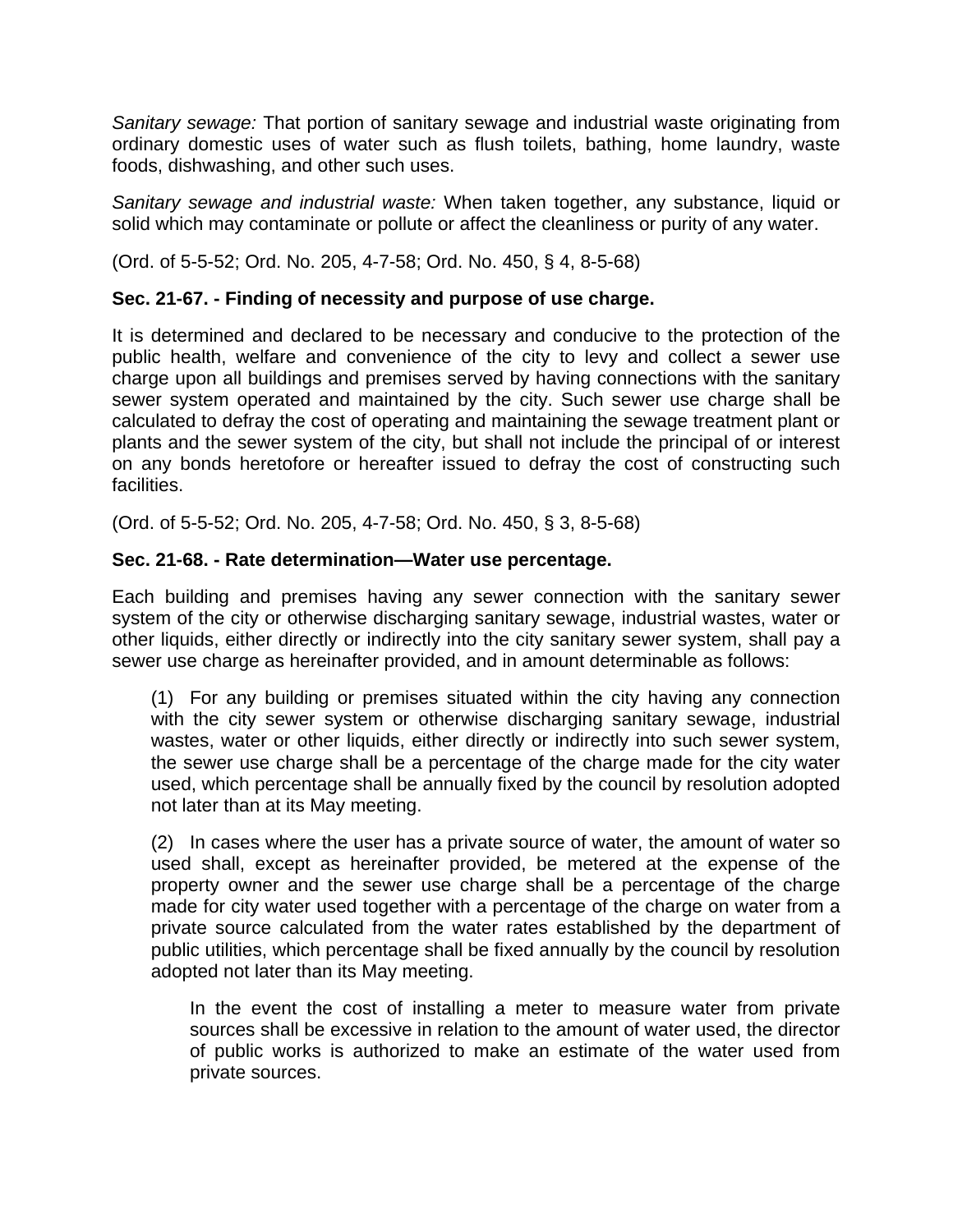*Sanitary sewage:* That portion of sanitary sewage and industrial waste originating from ordinary domestic uses of water such as flush toilets, bathing, home laundry, waste foods, dishwashing, and other such uses.

*Sanitary sewage and industrial waste:* When taken together, any substance, liquid or solid which may contaminate or pollute or affect the cleanliness or purity of any water.

(Ord. of 5-5-52; Ord. No. 205, 4-7-58; Ord. No. 450, § 4, 8-5-68)

# **Sec. 21-67. - Finding of necessity and purpose of use charge.**

It is determined and declared to be necessary and conducive to the protection of the public health, welfare and convenience of the city to levy and collect a sewer use charge upon all buildings and premises served by having connections with the sanitary sewer system operated and maintained by the city. Such sewer use charge shall be calculated to defray the cost of operating and maintaining the sewage treatment plant or plants and the sewer system of the city, but shall not include the principal of or interest on any bonds heretofore or hereafter issued to defray the cost of constructing such facilities.

(Ord. of 5-5-52; Ord. No. 205, 4-7-58; Ord. No. 450, § 3, 8-5-68)

## **Sec. 21-68. - Rate determination—Water use percentage.**

Each building and premises having any sewer connection with the sanitary sewer system of the city or otherwise discharging sanitary sewage, industrial wastes, water or other liquids, either directly or indirectly into the city sanitary sewer system, shall pay a sewer use charge as hereinafter provided, and in amount determinable as follows:

(1) For any building or premises situated within the city having any connection with the city sewer system or otherwise discharging sanitary sewage, industrial wastes, water or other liquids, either directly or indirectly into such sewer system, the sewer use charge shall be a percentage of the charge made for the city water used, which percentage shall be annually fixed by the council by resolution adopted not later than at its May meeting.

(2) In cases where the user has a private source of water, the amount of water so used shall, except as hereinafter provided, be metered at the expense of the property owner and the sewer use charge shall be a percentage of the charge made for city water used together with a percentage of the charge on water from a private source calculated from the water rates established by the department of public utilities, which percentage shall be fixed annually by the council by resolution adopted not later than its May meeting.

In the event the cost of installing a meter to measure water from private sources shall be excessive in relation to the amount of water used, the director of public works is authorized to make an estimate of the water used from private sources.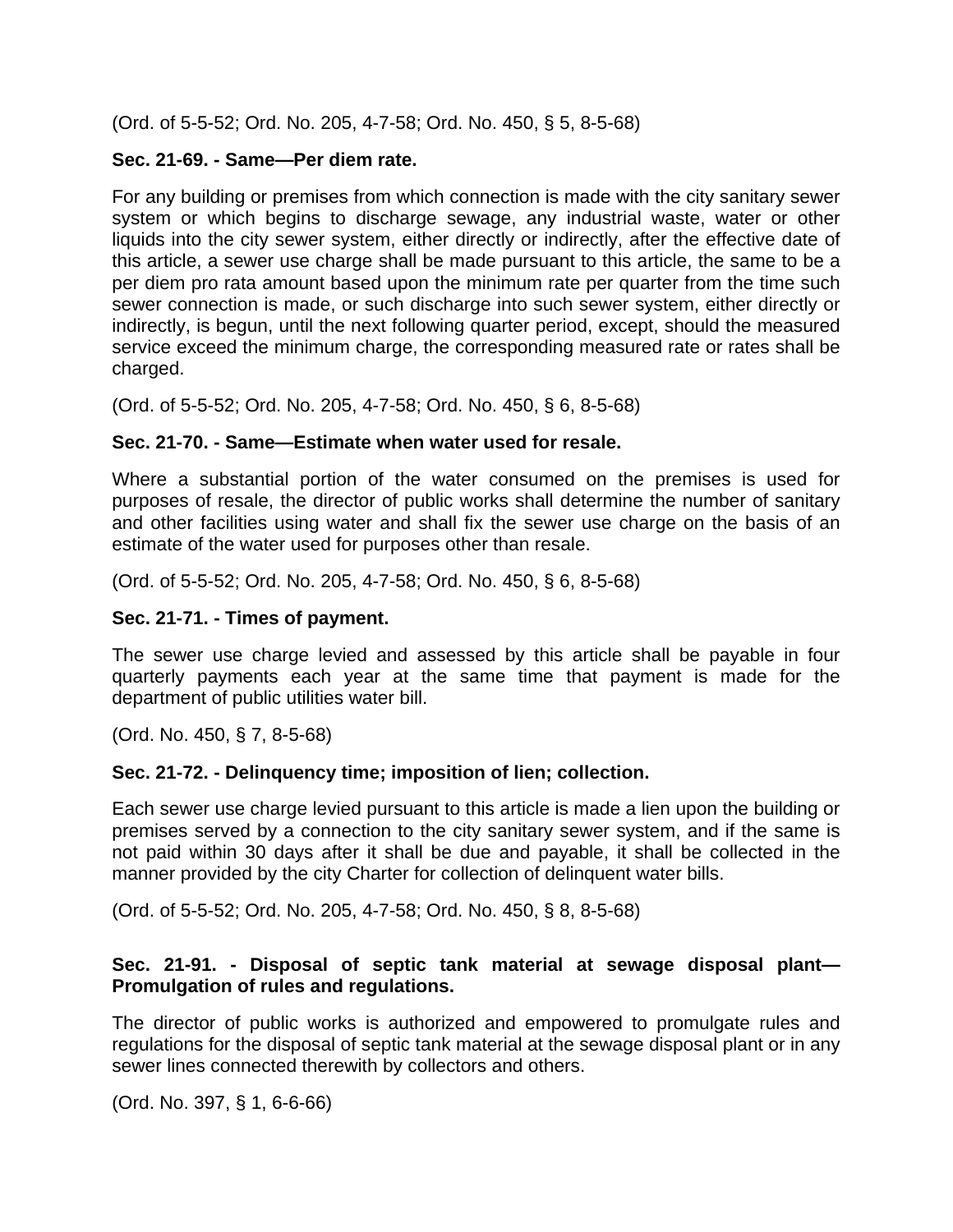(Ord. of 5-5-52; Ord. No. 205, 4-7-58; Ord. No. 450, § 5, 8-5-68)

#### **Sec. 21-69. - Same—Per diem rate.**

For any building or premises from which connection is made with the city sanitary sewer system or which begins to discharge sewage, any industrial waste, water or other liquids into the city sewer system, either directly or indirectly, after the effective date of this article, a sewer use charge shall be made pursuant to this article, the same to be a per diem pro rata amount based upon the minimum rate per quarter from the time such sewer connection is made, or such discharge into such sewer system, either directly or indirectly, is begun, until the next following quarter period, except, should the measured service exceed the minimum charge, the corresponding measured rate or rates shall be charged.

(Ord. of 5-5-52; Ord. No. 205, 4-7-58; Ord. No. 450, § 6, 8-5-68)

#### **Sec. 21-70. - Same—Estimate when water used for resale.**

Where a substantial portion of the water consumed on the premises is used for purposes of resale, the director of public works shall determine the number of sanitary and other facilities using water and shall fix the sewer use charge on the basis of an estimate of the water used for purposes other than resale.

(Ord. of 5-5-52; Ord. No. 205, 4-7-58; Ord. No. 450, § 6, 8-5-68)

#### **Sec. 21-71. - Times of payment.**

The sewer use charge levied and assessed by this article shall be payable in four quarterly payments each year at the same time that payment is made for the department of public utilities water bill.

(Ord. No. 450, § 7, 8-5-68)

### **Sec. 21-72. - Delinquency time; imposition of lien; collection.**

Each sewer use charge levied pursuant to this article is made a lien upon the building or premises served by a connection to the city sanitary sewer system, and if the same is not paid within 30 days after it shall be due and payable, it shall be collected in the manner provided by the city Charter for collection of delinquent water bills.

(Ord. of 5-5-52; Ord. No. 205, 4-7-58; Ord. No. 450, § 8, 8-5-68)

### **Sec. 21-91. - Disposal of septic tank material at sewage disposal plant— Promulgation of rules and regulations.**

The director of public works is authorized and empowered to promulgate rules and regulations for the disposal of septic tank material at the sewage disposal plant or in any sewer lines connected therewith by collectors and others.

(Ord. No. 397, § 1, 6-6-66)